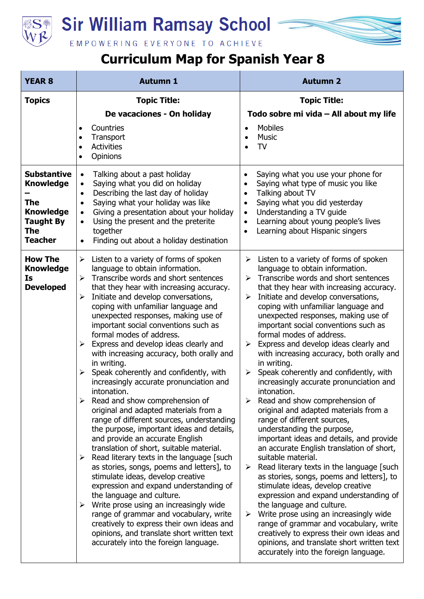

## **Sir William Ramsay School**

## EMPOWERING EVERYONE TO ACHIEVE

## **Curriculum Map for Spanish Year 8**

| <b>YEAR 8</b>                                                                                                                | <b>Autumn 1</b>                                                                                                                                                                                                                                                                                                                                                                                                                                                                                                                                                                                                                                                                                                                                                                                                                                                                                                                                                                                                                                                                                                                                                                                                                                                                                                                                                                        | <b>Autumn 2</b>                                                                                                                                                                                                                                                                                                                                                                                                                                                                                                                                                                                                                                                                                                                                                                                                                                                                                                                                                                                                                                                                                                                                                                                                                                                                                                                                                       |
|------------------------------------------------------------------------------------------------------------------------------|----------------------------------------------------------------------------------------------------------------------------------------------------------------------------------------------------------------------------------------------------------------------------------------------------------------------------------------------------------------------------------------------------------------------------------------------------------------------------------------------------------------------------------------------------------------------------------------------------------------------------------------------------------------------------------------------------------------------------------------------------------------------------------------------------------------------------------------------------------------------------------------------------------------------------------------------------------------------------------------------------------------------------------------------------------------------------------------------------------------------------------------------------------------------------------------------------------------------------------------------------------------------------------------------------------------------------------------------------------------------------------------|-----------------------------------------------------------------------------------------------------------------------------------------------------------------------------------------------------------------------------------------------------------------------------------------------------------------------------------------------------------------------------------------------------------------------------------------------------------------------------------------------------------------------------------------------------------------------------------------------------------------------------------------------------------------------------------------------------------------------------------------------------------------------------------------------------------------------------------------------------------------------------------------------------------------------------------------------------------------------------------------------------------------------------------------------------------------------------------------------------------------------------------------------------------------------------------------------------------------------------------------------------------------------------------------------------------------------------------------------------------------------|
| <b>Topics</b>                                                                                                                | <b>Topic Title:</b>                                                                                                                                                                                                                                                                                                                                                                                                                                                                                                                                                                                                                                                                                                                                                                                                                                                                                                                                                                                                                                                                                                                                                                                                                                                                                                                                                                    | <b>Topic Title:</b>                                                                                                                                                                                                                                                                                                                                                                                                                                                                                                                                                                                                                                                                                                                                                                                                                                                                                                                                                                                                                                                                                                                                                                                                                                                                                                                                                   |
|                                                                                                                              | De vacaciones - On holiday<br>Countries<br>$\bullet$<br>Transport<br>$\bullet$<br><b>Activities</b><br>$\bullet$<br>Opinions<br>$\bullet$                                                                                                                                                                                                                                                                                                                                                                                                                                                                                                                                                                                                                                                                                                                                                                                                                                                                                                                                                                                                                                                                                                                                                                                                                                              | Todo sobre mi vida - All about my life<br><b>Mobiles</b><br><b>Music</b><br>٠<br>TV                                                                                                                                                                                                                                                                                                                                                                                                                                                                                                                                                                                                                                                                                                                                                                                                                                                                                                                                                                                                                                                                                                                                                                                                                                                                                   |
| <b>Substantive</b><br><b>Knowledge</b><br><b>The</b><br><b>Knowledge</b><br><b>Taught By</b><br><b>The</b><br><b>Teacher</b> | Talking about a past holiday<br>$\bullet$<br>Saying what you did on holiday<br>$\bullet$<br>Describing the last day of holiday<br>$\bullet$<br>Saying what your holiday was like<br>$\bullet$<br>Giving a presentation about your holiday<br>$\bullet$<br>Using the present and the preterite<br>$\bullet$<br>together<br>Finding out about a holiday destination<br>$\bullet$                                                                                                                                                                                                                                                                                                                                                                                                                                                                                                                                                                                                                                                                                                                                                                                                                                                                                                                                                                                                         | Saying what you use your phone for<br>$\bullet$<br>Saying what type of music you like<br>$\bullet$<br>Talking about TV<br>$\bullet$<br>Saying what you did yesterday<br>$\bullet$<br>Understanding a TV guide<br>$\bullet$<br>Learning about young people's lives<br>$\bullet$<br>Learning about Hispanic singers<br>$\bullet$                                                                                                                                                                                                                                                                                                                                                                                                                                                                                                                                                                                                                                                                                                                                                                                                                                                                                                                                                                                                                                        |
| <b>How The</b><br><b>Knowledge</b><br>Is<br><b>Developed</b>                                                                 | Listen to a variety of forms of spoken<br>$\blacktriangleright$<br>language to obtain information.<br>Transcribe words and short sentences<br>➤<br>that they hear with increasing accuracy.<br>Initiate and develop conversations,<br>$\blacktriangleright$<br>coping with unfamiliar language and<br>unexpected responses, making use of<br>important social conventions such as<br>formal modes of address.<br>$\triangleright$ Express and develop ideas clearly and<br>with increasing accuracy, both orally and<br>in writing.<br>Speak coherently and confidently, with<br>$\blacktriangleright$<br>increasingly accurate pronunciation and<br>intonation.<br>Read and show comprehension of<br>$\blacktriangleright$<br>original and adapted materials from a<br>range of different sources, understanding<br>the purpose, important ideas and details,<br>and provide an accurate English<br>translation of short, suitable material.<br>Read literary texts in the language [such]<br>➤<br>as stories, songs, poems and letters], to<br>stimulate ideas, develop creative<br>expression and expand understanding of<br>the language and culture.<br>Write prose using an increasingly wide<br>➤<br>range of grammar and vocabulary, write<br>creatively to express their own ideas and<br>opinions, and translate short written text<br>accurately into the foreign language. | Listen to a variety of forms of spoken<br>$\blacktriangleright$<br>language to obtain information.<br>Transcribe words and short sentences<br>➤<br>that they hear with increasing accuracy.<br>Initiate and develop conversations,<br>$\blacktriangleright$<br>coping with unfamiliar language and<br>unexpected responses, making use of<br>important social conventions such as<br>formal modes of address.<br>$\triangleright$ Express and develop ideas clearly and<br>with increasing accuracy, both orally and<br>in writing.<br>Speak coherently and confidently, with<br>$\blacktriangleright$<br>increasingly accurate pronunciation and<br>intonation.<br>Read and show comprehension of<br>➤<br>original and adapted materials from a<br>range of different sources,<br>understanding the purpose,<br>important ideas and details, and provide<br>an accurate English translation of short,<br>suitable material.<br>Read literary texts in the language [such]<br>➤<br>as stories, songs, poems and letters], to<br>stimulate ideas, develop creative<br>expression and expand understanding of<br>the language and culture.<br>Write prose using an increasingly wide<br>➤<br>range of grammar and vocabulary, write<br>creatively to express their own ideas and<br>opinions, and translate short written text<br>accurately into the foreign language. |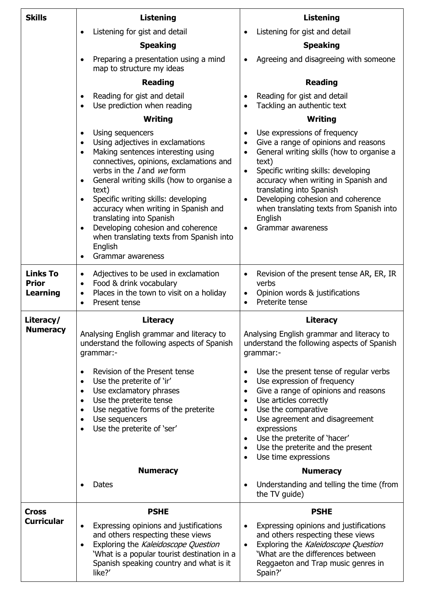| <b>Skills</b>                   | <b>Listening</b>                                                                                                                                                                                                                                                                                                                                                                                                                                                                                                                        | <b>Listening</b>                                                                                                                                                                                                                                                                                                                                                                                                                  |
|---------------------------------|-----------------------------------------------------------------------------------------------------------------------------------------------------------------------------------------------------------------------------------------------------------------------------------------------------------------------------------------------------------------------------------------------------------------------------------------------------------------------------------------------------------------------------------------|-----------------------------------------------------------------------------------------------------------------------------------------------------------------------------------------------------------------------------------------------------------------------------------------------------------------------------------------------------------------------------------------------------------------------------------|
|                                 | Listening for gist and detail                                                                                                                                                                                                                                                                                                                                                                                                                                                                                                           | Listening for gist and detail                                                                                                                                                                                                                                                                                                                                                                                                     |
|                                 | <b>Speaking</b>                                                                                                                                                                                                                                                                                                                                                                                                                                                                                                                         | <b>Speaking</b>                                                                                                                                                                                                                                                                                                                                                                                                                   |
|                                 | Preparing a presentation using a mind<br>map to structure my ideas                                                                                                                                                                                                                                                                                                                                                                                                                                                                      | Agreeing and disagreeing with someone                                                                                                                                                                                                                                                                                                                                                                                             |
|                                 | <b>Reading</b>                                                                                                                                                                                                                                                                                                                                                                                                                                                                                                                          | <b>Reading</b>                                                                                                                                                                                                                                                                                                                                                                                                                    |
|                                 | Reading for gist and detail<br>$\bullet$                                                                                                                                                                                                                                                                                                                                                                                                                                                                                                | Reading for gist and detail<br>$\bullet$                                                                                                                                                                                                                                                                                                                                                                                          |
|                                 | Use prediction when reading<br>$\bullet$                                                                                                                                                                                                                                                                                                                                                                                                                                                                                                | Tackling an authentic text<br>$\bullet$                                                                                                                                                                                                                                                                                                                                                                                           |
|                                 | Writing                                                                                                                                                                                                                                                                                                                                                                                                                                                                                                                                 | Writing                                                                                                                                                                                                                                                                                                                                                                                                                           |
|                                 | Using sequencers<br>$\bullet$<br>Using adjectives in exclamations<br>$\bullet$<br>Making sentences interesting using<br>$\bullet$<br>connectives, opinions, exclamations and<br>verbs in the $I$ and $we$ form<br>General writing skills (how to organise a<br>$\bullet$<br>text)<br>Specific writing skills: developing<br>$\bullet$<br>accuracy when writing in Spanish and<br>translating into Spanish<br>Developing cohesion and coherence<br>when translating texts from Spanish into<br>English<br>Grammar awareness<br>$\bullet$ | Use expressions of frequency<br>$\bullet$<br>Give a range of opinions and reasons<br>$\bullet$<br>General writing skills (how to organise a<br>$\bullet$<br>text)<br>Specific writing skills: developing<br>$\bullet$<br>accuracy when writing in Spanish and<br>translating into Spanish<br>Developing cohesion and coherence<br>$\bullet$<br>when translating texts from Spanish into<br>English<br>Grammar awareness           |
| <b>Links To</b>                 |                                                                                                                                                                                                                                                                                                                                                                                                                                                                                                                                         |                                                                                                                                                                                                                                                                                                                                                                                                                                   |
| <b>Prior</b><br><b>Learning</b> | Adjectives to be used in exclamation<br>$\bullet$<br>Food & drink vocabulary<br>$\bullet$<br>Places in the town to visit on a holiday<br>$\bullet$<br>Present tense<br>$\bullet$                                                                                                                                                                                                                                                                                                                                                        | Revision of the present tense AR, ER, IR<br>$\bullet$<br>verbs<br>Opinion words & justifications<br>$\bullet$<br>Preterite tense<br>$\bullet$                                                                                                                                                                                                                                                                                     |
| Literacy/                       | <b>Literacy</b>                                                                                                                                                                                                                                                                                                                                                                                                                                                                                                                         | Literacy                                                                                                                                                                                                                                                                                                                                                                                                                          |
| <b>Numeracy</b>                 | Analysing English grammar and literacy to<br>understand the following aspects of Spanish<br>grammar:-                                                                                                                                                                                                                                                                                                                                                                                                                                   | Analysing English grammar and literacy to<br>understand the following aspects of Spanish<br>grammar:-                                                                                                                                                                                                                                                                                                                             |
|                                 | Revision of the Present tense<br>$\bullet$<br>Use the preterite of 'ir'<br>$\bullet$<br>Use exclamatory phrases<br>$\bullet$<br>Use the preterite tense<br>$\bullet$<br>Use negative forms of the preterite<br>$\bullet$<br>Use sequencers<br>$\bullet$<br>Use the preterite of 'ser'<br>$\bullet$                                                                                                                                                                                                                                      | Use the present tense of regular verbs<br>$\bullet$<br>Use expression of frequency<br>$\bullet$<br>Give a range of opinions and reasons<br>$\bullet$<br>Use articles correctly<br>$\bullet$<br>Use the comparative<br>$\bullet$<br>Use agreement and disagreement<br>$\bullet$<br>expressions<br>Use the preterite of 'hacer'<br>$\bullet$<br>Use the preterite and the present<br>$\bullet$<br>Use time expressions<br>$\bullet$ |
|                                 | <b>Numeracy</b>                                                                                                                                                                                                                                                                                                                                                                                                                                                                                                                         | <b>Numeracy</b>                                                                                                                                                                                                                                                                                                                                                                                                                   |
|                                 | Dates                                                                                                                                                                                                                                                                                                                                                                                                                                                                                                                                   | Understanding and telling the time (from<br>the TV guide)                                                                                                                                                                                                                                                                                                                                                                         |
| <b>Cross</b>                    | <b>PSHE</b>                                                                                                                                                                                                                                                                                                                                                                                                                                                                                                                             | <b>PSHE</b>                                                                                                                                                                                                                                                                                                                                                                                                                       |
| <b>Curricular</b>               | Expressing opinions and justifications<br>$\bullet$<br>and others respecting these views<br>Exploring the Kaleidoscope Question<br>'What is a popular tourist destination in a<br>Spanish speaking country and what is it<br>like?'                                                                                                                                                                                                                                                                                                     | Expressing opinions and justifications<br>$\bullet$<br>and others respecting these views<br>Exploring the Kaleidoscope Question<br>$\bullet$<br>'What are the differences between<br>Reggaeton and Trap music genres in<br>Spain?'                                                                                                                                                                                                |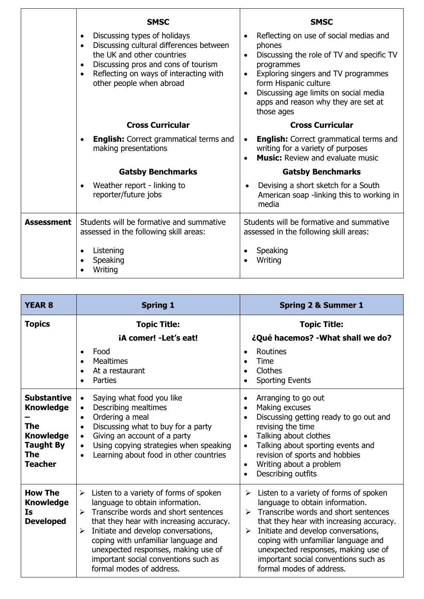|                   | <b>SMSC</b>                                                                                                                                                                                                                                                            | <b>SMSC</b>                                                                                                                                                                                                                                                                                                      |
|-------------------|------------------------------------------------------------------------------------------------------------------------------------------------------------------------------------------------------------------------------------------------------------------------|------------------------------------------------------------------------------------------------------------------------------------------------------------------------------------------------------------------------------------------------------------------------------------------------------------------|
|                   | Discussing types of holidays<br>$\bullet$<br>Discussing cultural differences between<br>$\bullet$<br>the UK and other countries<br>Discussing pros and cons of tourism<br>$\bullet$<br>Reflecting on ways of interacting with<br>$\bullet$<br>other people when abroad | Reflecting on use of social medias and<br>phones<br>Discussing the role of TV and specific TV<br>$\bullet$<br>programmes<br>Exploring singers and TV programmes<br>$\bullet$<br>form Hispanic culture<br>Discussing age limits on social media<br>$\bullet$<br>apps and reason why they are set at<br>those ages |
|                   | <b>Cross Curricular</b>                                                                                                                                                                                                                                                | <b>Cross Curricular</b>                                                                                                                                                                                                                                                                                          |
|                   | <b>English:</b> Correct grammatical terms and<br>$\bullet$<br>making presentations                                                                                                                                                                                     | <b>English:</b> Correct grammatical terms and<br>$\bullet$<br>writing for a variety of purposes<br><b>Music:</b> Review and evaluate music<br>$\bullet$                                                                                                                                                          |
|                   | <b>Gatsby Benchmarks</b>                                                                                                                                                                                                                                               | <b>Gatsby Benchmarks</b>                                                                                                                                                                                                                                                                                         |
|                   | Weather report - linking to<br>reporter/future jobs                                                                                                                                                                                                                    | Devising a short sketch for a South<br>$\bullet$<br>American soap -linking this to working in<br>media                                                                                                                                                                                                           |
| <b>Assessment</b> | Students will be formative and summative<br>assessed in the following skill areas:                                                                                                                                                                                     | Students will be formative and summative<br>assessed in the following skill areas:                                                                                                                                                                                                                               |
|                   | Listening<br>Speaking<br>Writing                                                                                                                                                                                                                                       | Speaking<br>Writing                                                                                                                                                                                                                                                                                              |

| <b>YEAR 8</b>                                                                                                                | <b>Spring 1</b>                                                                                                                                                                                                                                                                                                                                                       | <b>Spring 2 &amp; Summer 1</b>                                                                                                                                                                                                                                                                                                                                                                                |
|------------------------------------------------------------------------------------------------------------------------------|-----------------------------------------------------------------------------------------------------------------------------------------------------------------------------------------------------------------------------------------------------------------------------------------------------------------------------------------------------------------------|---------------------------------------------------------------------------------------------------------------------------------------------------------------------------------------------------------------------------------------------------------------------------------------------------------------------------------------------------------------------------------------------------------------|
| <b>Topics</b>                                                                                                                | <b>Topic Title:</b><br>iA comer! - Let's eat!                                                                                                                                                                                                                                                                                                                         | <b>Topic Title:</b><br>¿Qué hacemos? - What shall we do?                                                                                                                                                                                                                                                                                                                                                      |
|                                                                                                                              | Food<br><b>Mealtimes</b><br>$\bullet$<br>At a restaurant<br>Parties                                                                                                                                                                                                                                                                                                   | Routines<br>Time<br>Clothes<br><b>Sporting Events</b>                                                                                                                                                                                                                                                                                                                                                         |
| <b>Substantive</b><br><b>Knowledge</b><br><b>The</b><br><b>Knowledge</b><br><b>Taught By</b><br><b>The</b><br><b>Teacher</b> | Saying what food you like<br>$\bullet$<br>Describing mealtimes<br>$\bullet$<br>Ordering a meal<br>$\bullet$<br>Discussing what to buy for a party<br>$\bullet$<br>Giving an account of a party<br>$\bullet$<br>Using copying strategies when speaking<br>$\bullet$<br>Learning about food in other countries<br>$\bullet$                                             | Arranging to go out<br>$\bullet$<br>Making excuses<br>$\bullet$<br>Discussing getting ready to go out and<br>$\bullet$<br>revising the time<br>Talking about clothes<br>$\bullet$<br>Talking about sporting events and<br>$\bullet$<br>revision of sports and hobbies<br>Writing about a problem<br>$\bullet$<br>Describing outfits                                                                           |
| <b>How The</b><br><b>Knowledge</b><br><b>Is</b><br><b>Developed</b>                                                          | Listen to a variety of forms of spoken<br>➤<br>language to obtain information.<br>Transcribe words and short sentences<br>➤<br>that they hear with increasing accuracy.<br>Initiate and develop conversations,<br>➤<br>coping with unfamiliar language and<br>unexpected responses, making use of<br>important social conventions such as<br>formal modes of address. | Listen to a variety of forms of spoken<br>➤<br>language to obtain information.<br>Transcribe words and short sentences<br>$\blacktriangleright$<br>that they hear with increasing accuracy.<br>Initiate and develop conversations,<br>$\blacktriangleright$<br>coping with unfamiliar language and<br>unexpected responses, making use of<br>important social conventions such as<br>formal modes of address. |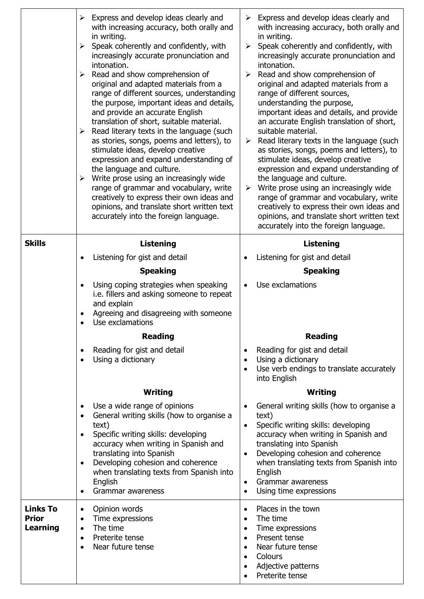|                                                    | $\triangleright$ Express and develop ideas clearly and<br>with increasing accuracy, both orally and<br>in writing.<br>Speak coherently and confidently, with<br>➤<br>increasingly accurate pronunciation and<br>intonation.<br>Read and show comprehension of<br>$\blacktriangleright$<br>original and adapted materials from a<br>range of different sources, understanding<br>the purpose, important ideas and details,<br>and provide an accurate English<br>translation of short, suitable material.<br>Read literary texts in the language (such<br>≻<br>as stories, songs, poems and letters), to<br>stimulate ideas, develop creative<br>expression and expand understanding of<br>the language and culture.<br>Write prose using an increasingly wide<br>≻<br>range of grammar and vocabulary, write<br>creatively to express their own ideas and<br>opinions, and translate short written text<br>accurately into the foreign language. | $\triangleright$ Express and develop ideas clearly and<br>with increasing accuracy, both orally and<br>in writing.<br>Speak coherently and confidently, with<br>➤<br>increasingly accurate pronunciation and<br>intonation.<br>Read and show comprehension of<br>➤<br>original and adapted materials from a<br>range of different sources,<br>understanding the purpose,<br>important ideas and details, and provide<br>an accurate English translation of short,<br>suitable material.<br>Read literary texts in the language (such<br>➤<br>as stories, songs, poems and letters), to<br>stimulate ideas, develop creative<br>expression and expand understanding of<br>the language and culture.<br>Write prose using an increasingly wide<br>➤<br>range of grammar and vocabulary, write<br>creatively to express their own ideas and<br>opinions, and translate short written text<br>accurately into the foreign language. |
|----------------------------------------------------|--------------------------------------------------------------------------------------------------------------------------------------------------------------------------------------------------------------------------------------------------------------------------------------------------------------------------------------------------------------------------------------------------------------------------------------------------------------------------------------------------------------------------------------------------------------------------------------------------------------------------------------------------------------------------------------------------------------------------------------------------------------------------------------------------------------------------------------------------------------------------------------------------------------------------------------------------|---------------------------------------------------------------------------------------------------------------------------------------------------------------------------------------------------------------------------------------------------------------------------------------------------------------------------------------------------------------------------------------------------------------------------------------------------------------------------------------------------------------------------------------------------------------------------------------------------------------------------------------------------------------------------------------------------------------------------------------------------------------------------------------------------------------------------------------------------------------------------------------------------------------------------------|
| <b>Skills</b>                                      | <b>Listening</b>                                                                                                                                                                                                                                                                                                                                                                                                                                                                                                                                                                                                                                                                                                                                                                                                                                                                                                                                 | <b>Listening</b>                                                                                                                                                                                                                                                                                                                                                                                                                                                                                                                                                                                                                                                                                                                                                                                                                                                                                                                |
|                                                    | Listening for gist and detail                                                                                                                                                                                                                                                                                                                                                                                                                                                                                                                                                                                                                                                                                                                                                                                                                                                                                                                    | Listening for gist and detail                                                                                                                                                                                                                                                                                                                                                                                                                                                                                                                                                                                                                                                                                                                                                                                                                                                                                                   |
|                                                    | <b>Speaking</b>                                                                                                                                                                                                                                                                                                                                                                                                                                                                                                                                                                                                                                                                                                                                                                                                                                                                                                                                  | <b>Speaking</b>                                                                                                                                                                                                                                                                                                                                                                                                                                                                                                                                                                                                                                                                                                                                                                                                                                                                                                                 |
|                                                    | Using coping strategies when speaking                                                                                                                                                                                                                                                                                                                                                                                                                                                                                                                                                                                                                                                                                                                                                                                                                                                                                                            | Use exclamations                                                                                                                                                                                                                                                                                                                                                                                                                                                                                                                                                                                                                                                                                                                                                                                                                                                                                                                |
|                                                    | i.e. fillers and asking someone to repeat<br>and explain<br>Agreeing and disagreeing with someone<br>Use exclamations                                                                                                                                                                                                                                                                                                                                                                                                                                                                                                                                                                                                                                                                                                                                                                                                                            |                                                                                                                                                                                                                                                                                                                                                                                                                                                                                                                                                                                                                                                                                                                                                                                                                                                                                                                                 |
|                                                    | <b>Reading</b>                                                                                                                                                                                                                                                                                                                                                                                                                                                                                                                                                                                                                                                                                                                                                                                                                                                                                                                                   | <b>Reading</b>                                                                                                                                                                                                                                                                                                                                                                                                                                                                                                                                                                                                                                                                                                                                                                                                                                                                                                                  |
|                                                    | Reading for gist and detail<br>Using a dictionary<br>$\bullet$                                                                                                                                                                                                                                                                                                                                                                                                                                                                                                                                                                                                                                                                                                                                                                                                                                                                                   | Reading for gist and detail<br>$\bullet$<br>Using a dictionary<br>$\bullet$<br>Use verb endings to translate accurately<br>$\bullet$<br>into English                                                                                                                                                                                                                                                                                                                                                                                                                                                                                                                                                                                                                                                                                                                                                                            |
|                                                    | Writing                                                                                                                                                                                                                                                                                                                                                                                                                                                                                                                                                                                                                                                                                                                                                                                                                                                                                                                                          | Writing                                                                                                                                                                                                                                                                                                                                                                                                                                                                                                                                                                                                                                                                                                                                                                                                                                                                                                                         |
|                                                    | Use a wide range of opinions<br>$\bullet$<br>General writing skills (how to organise a<br>$\bullet$<br>text)<br>Specific writing skills: developing<br>$\bullet$<br>accuracy when writing in Spanish and<br>translating into Spanish<br>Developing cohesion and coherence<br>$\bullet$<br>when translating texts from Spanish into<br>English<br>Grammar awareness<br>٠                                                                                                                                                                                                                                                                                                                                                                                                                                                                                                                                                                          | General writing skills (how to organise a<br>$\bullet$<br>text)<br>Specific writing skills: developing<br>$\bullet$<br>accuracy when writing in Spanish and<br>translating into Spanish<br>Developing cohesion and coherence<br>$\bullet$<br>when translating texts from Spanish into<br>English<br>Grammar awareness<br>$\bullet$<br>Using time expressions<br>$\bullet$                                                                                                                                                                                                                                                                                                                                                                                                                                                                                                                                                       |
| <b>Links To</b><br><b>Prior</b><br><b>Learning</b> | Opinion words<br>$\bullet$<br>Time expressions<br>$\bullet$<br>The time<br>$\bullet$<br>Preterite tense<br>$\bullet$<br>Near future tense<br>$\bullet$                                                                                                                                                                                                                                                                                                                                                                                                                                                                                                                                                                                                                                                                                                                                                                                           | Places in the town<br>$\bullet$<br>The time<br>$\bullet$<br>Time expressions<br>$\bullet$<br>Present tense<br>$\bullet$<br>Near future tense<br>$\bullet$<br>Colours<br>$\bullet$<br>Adjective patterns<br>Preterite tense                                                                                                                                                                                                                                                                                                                                                                                                                                                                                                                                                                                                                                                                                                      |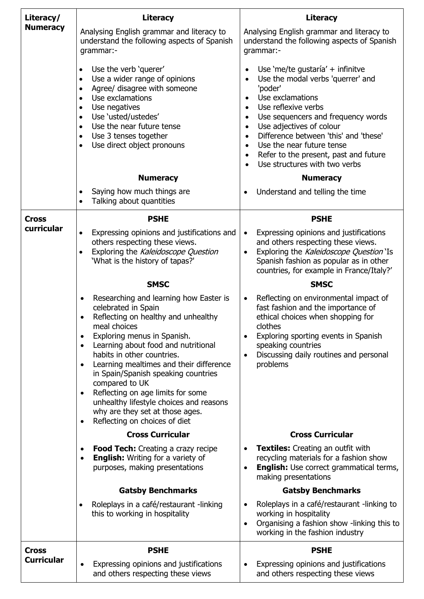| Literacy/         | Literacy                                                                                                                                                                                                                                                                                                                                                                                                                                                                                                                                                       | <b>Literacy</b>                                                                                                                                                                                                                                                                                                                                                                                                                                                                 |
|-------------------|----------------------------------------------------------------------------------------------------------------------------------------------------------------------------------------------------------------------------------------------------------------------------------------------------------------------------------------------------------------------------------------------------------------------------------------------------------------------------------------------------------------------------------------------------------------|---------------------------------------------------------------------------------------------------------------------------------------------------------------------------------------------------------------------------------------------------------------------------------------------------------------------------------------------------------------------------------------------------------------------------------------------------------------------------------|
| <b>Numeracy</b>   | Analysing English grammar and literacy to<br>understand the following aspects of Spanish<br>grammar:-                                                                                                                                                                                                                                                                                                                                                                                                                                                          | Analysing English grammar and literacy to<br>understand the following aspects of Spanish<br>grammar:-                                                                                                                                                                                                                                                                                                                                                                           |
|                   | Use the verb 'querer'<br>$\bullet$<br>Use a wider range of opinions<br>$\bullet$<br>Agree/ disagree with someone<br>$\bullet$<br>Use exclamations<br>$\bullet$<br>Use negatives<br>$\bullet$<br>Use 'usted/ustedes'<br>$\bullet$<br>Use the near future tense<br>$\bullet$<br>Use 3 tenses together<br>$\bullet$<br>Use direct object pronouns<br>$\bullet$                                                                                                                                                                                                    | Use 'me/te gustaría' + infinitve<br>$\bullet$<br>Use the modal verbs 'querrer' and<br>$\bullet$<br>'poder'<br>Use exclamations<br>$\bullet$<br>Use reflexive verbs<br>$\bullet$<br>Use sequencers and frequency words<br>$\bullet$<br>Use adjectives of colour<br>$\bullet$<br>Difference between 'this' and 'these'<br>$\bullet$<br>Use the near future tense<br>$\bullet$<br>Refer to the present, past and future<br>$\bullet$<br>Use structures with two verbs<br>$\bullet$ |
|                   | <b>Numeracy</b>                                                                                                                                                                                                                                                                                                                                                                                                                                                                                                                                                | <b>Numeracy</b>                                                                                                                                                                                                                                                                                                                                                                                                                                                                 |
|                   | Saying how much things are<br>$\bullet$<br>Talking about quantities<br>$\bullet$                                                                                                                                                                                                                                                                                                                                                                                                                                                                               | Understand and telling the time                                                                                                                                                                                                                                                                                                                                                                                                                                                 |
| <b>Cross</b>      | <b>PSHE</b>                                                                                                                                                                                                                                                                                                                                                                                                                                                                                                                                                    | <b>PSHE</b>                                                                                                                                                                                                                                                                                                                                                                                                                                                                     |
| curricular        | Expressing opinions and justifications and<br>$\bullet$                                                                                                                                                                                                                                                                                                                                                                                                                                                                                                        | Expressing opinions and justifications<br>$\bullet$                                                                                                                                                                                                                                                                                                                                                                                                                             |
|                   | others respecting these views.<br>Exploring the Kaleidoscope Question<br>'What is the history of tapas?'                                                                                                                                                                                                                                                                                                                                                                                                                                                       | and others respecting these views.<br>Exploring the Kaleidoscope Question 'Is<br>Spanish fashion as popular as in other<br>countries, for example in France/Italy?'                                                                                                                                                                                                                                                                                                             |
|                   | <b>SMSC</b>                                                                                                                                                                                                                                                                                                                                                                                                                                                                                                                                                    | <b>SMSC</b>                                                                                                                                                                                                                                                                                                                                                                                                                                                                     |
|                   | Researching and learning how Easter is<br>$\bullet$<br>celebrated in Spain<br>Reflecting on healthy and unhealthy<br>meal choices<br>Exploring menus in Spanish.<br>$\bullet$<br>Learning about food and nutritional<br>$\bullet$<br>habits in other countries.<br>Learning mealtimes and their difference<br>$\bullet$<br>in Spain/Spanish speaking countries<br>compared to UK<br>Reflecting on age limits for some<br>$\bullet$<br>unhealthy lifestyle choices and reasons<br>why are they set at those ages.<br>Reflecting on choices of diet<br>$\bullet$ | Reflecting on environmental impact of<br>$\bullet$<br>fast fashion and the importance of<br>ethical choices when shopping for<br>clothes<br>Exploring sporting events in Spanish<br>speaking countries<br>Discussing daily routines and personal<br>٠<br>problems                                                                                                                                                                                                               |
|                   | <b>Cross Curricular</b>                                                                                                                                                                                                                                                                                                                                                                                                                                                                                                                                        | <b>Cross Curricular</b>                                                                                                                                                                                                                                                                                                                                                                                                                                                         |
|                   | <b>Food Tech:</b> Creating a crazy recipe<br>$\bullet$<br><b>English:</b> Writing for a variety of<br>$\bullet$<br>purposes, making presentations                                                                                                                                                                                                                                                                                                                                                                                                              | <b>Textiles:</b> Creating an outfit with<br>٠<br>recycling materials for a fashion show<br><b>English:</b> Use correct grammatical terms,<br>$\bullet$<br>making presentations                                                                                                                                                                                                                                                                                                  |
|                   | <b>Gatsby Benchmarks</b>                                                                                                                                                                                                                                                                                                                                                                                                                                                                                                                                       | <b>Gatsby Benchmarks</b>                                                                                                                                                                                                                                                                                                                                                                                                                                                        |
|                   | Roleplays in a café/restaurant -linking<br>$\bullet$<br>this to working in hospitality                                                                                                                                                                                                                                                                                                                                                                                                                                                                         | Roleplays in a café/restaurant -linking to<br>working in hospitality<br>Organising a fashion show -linking this to<br>working in the fashion industry                                                                                                                                                                                                                                                                                                                           |
| <b>Cross</b>      | <b>PSHE</b>                                                                                                                                                                                                                                                                                                                                                                                                                                                                                                                                                    | <b>PSHE</b>                                                                                                                                                                                                                                                                                                                                                                                                                                                                     |
| <b>Curricular</b> | Expressing opinions and justifications<br>and others respecting these views                                                                                                                                                                                                                                                                                                                                                                                                                                                                                    | Expressing opinions and justifications<br>and others respecting these views                                                                                                                                                                                                                                                                                                                                                                                                     |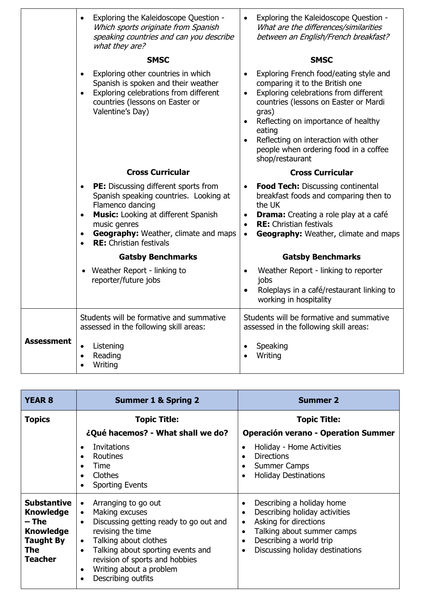|                   | Exploring the Kaleidoscope Question -<br>$\bullet$<br>Which sports originate from Spanish<br>speaking countries and can you describe<br>what they are?<br><b>SMSC</b>                                                                                                                    | Exploring the Kaleidoscope Question -<br>What are the differences/similarities<br>between an English/French breakfast?<br><b>SMSC</b>                                                                                                                                                                                                                            |
|-------------------|------------------------------------------------------------------------------------------------------------------------------------------------------------------------------------------------------------------------------------------------------------------------------------------|------------------------------------------------------------------------------------------------------------------------------------------------------------------------------------------------------------------------------------------------------------------------------------------------------------------------------------------------------------------|
|                   | Exploring other countries in which<br>$\bullet$<br>Spanish is spoken and their weather<br>Exploring celebrations from different<br>$\bullet$<br>countries (lessons on Easter or<br>Valentine's Day)                                                                                      | Exploring French food/eating style and<br>comparing it to the British one<br>Exploring celebrations from different<br>$\bullet$<br>countries (lessons on Easter or Mardi<br>gras)<br>Reflecting on importance of healthy<br>$\bullet$<br>eating<br>Reflecting on interaction with other<br>$\bullet$<br>people when ordering food in a coffee<br>shop/restaurant |
|                   | <b>Cross Curricular</b>                                                                                                                                                                                                                                                                  | <b>Cross Curricular</b>                                                                                                                                                                                                                                                                                                                                          |
|                   | PE: Discussing different sports from<br>Spanish speaking countries. Looking at<br>Flamenco dancing<br><b>Music:</b> Looking at different Spanish<br>$\bullet$<br>music genres<br><b>Geography:</b> Weather, climate and maps<br>$\bullet$<br><b>RE:</b> Christian festivals<br>$\bullet$ | Food Tech: Discussing continental<br>breakfast foods and comparing then to<br>the UK<br><b>Drama:</b> Creating a role play at a café<br>$\bullet$<br><b>RE:</b> Christian festivals<br>$\bullet$<br><b>Geography:</b> Weather, climate and maps<br>$\bullet$                                                                                                     |
|                   | <b>Gatsby Benchmarks</b>                                                                                                                                                                                                                                                                 | <b>Gatsby Benchmarks</b>                                                                                                                                                                                                                                                                                                                                         |
|                   | Weather Report - linking to<br>reporter/future jobs                                                                                                                                                                                                                                      | Weather Report - linking to reporter<br>jobs<br>Roleplays in a café/restaurant linking to<br>working in hospitality                                                                                                                                                                                                                                              |
|                   | Students will be formative and summative<br>assessed in the following skill areas:                                                                                                                                                                                                       | Students will be formative and summative<br>assessed in the following skill areas:                                                                                                                                                                                                                                                                               |
| <b>Assessment</b> | Listening<br>$\bullet$<br>Reading<br>$\bullet$<br>Writing                                                                                                                                                                                                                                | Speaking<br>Writing                                                                                                                                                                                                                                                                                                                                              |

| <b>YEAR 8</b>                                                                                                    | <b>Summer 1 &amp; Spring 2</b>                                                                                                                                                                                                                                                                                 | <b>Summer 2</b>                                                                                                                                                                                           |
|------------------------------------------------------------------------------------------------------------------|----------------------------------------------------------------------------------------------------------------------------------------------------------------------------------------------------------------------------------------------------------------------------------------------------------------|-----------------------------------------------------------------------------------------------------------------------------------------------------------------------------------------------------------|
| <b>Topics</b>                                                                                                    | <b>Topic Title:</b>                                                                                                                                                                                                                                                                                            | <b>Topic Title:</b>                                                                                                                                                                                       |
|                                                                                                                  | ¿Qué hacemos? - What shall we do?<br><b>Invitations</b><br>Routines<br>Time<br>Clothes<br>$\bullet$<br><b>Sporting Events</b>                                                                                                                                                                                  | <b>Operación verano - Operation Summer</b><br>Holiday - Home Activities<br><b>Directions</b><br><b>Summer Camps</b><br><b>Holiday Destinations</b>                                                        |
| <b>Substantive</b><br><b>Knowledge</b><br>– The<br><b>Knowledge</b><br><b>Taught By</b><br>The<br><b>Teacher</b> | Arranging to go out<br>$\bullet$<br>Making excuses<br>$\bullet$<br>Discussing getting ready to go out and<br>$\bullet$<br>revising the time<br>Talking about clothes<br>$\bullet$<br>Talking about sporting events and<br>revision of sports and hobbies<br>Writing about a problem<br>٠<br>Describing outfits | Describing a holiday home<br>Describing holiday activities<br>$\bullet$<br>Asking for directions<br>Talking about summer camps<br>$\bullet$<br>Describing a world trip<br>Discussing holiday destinations |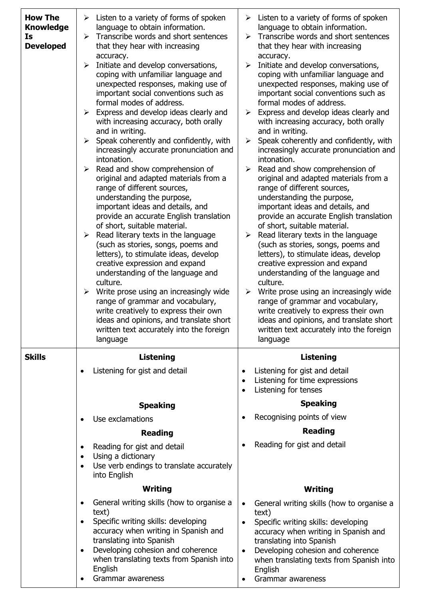| <b>How The</b><br><b>Knowledge</b><br>Is<br><b>Developed</b> | $\triangleright$ Listen to a variety of forms of spoken<br>language to obtain information.<br>Transcribe words and short sentences<br>➤<br>that they hear with increasing<br>accuracy.<br>Initiate and develop conversations,<br>➤<br>coping with unfamiliar language and<br>unexpected responses, making use of<br>important social conventions such as<br>formal modes of address.<br>Express and develop ideas clearly and<br>➤<br>with increasing accuracy, both orally<br>and in writing.<br>Speak coherently and confidently, with<br>$\blacktriangleright$<br>increasingly accurate pronunciation and<br>intonation.<br>Read and show comprehension of<br>➤<br>original and adapted materials from a<br>range of different sources,<br>understanding the purpose,<br>important ideas and details, and<br>provide an accurate English translation<br>of short, suitable material.<br>Read literary texts in the language<br>$\blacktriangleright$<br>(such as stories, songs, poems and<br>letters), to stimulate ideas, develop<br>creative expression and expand<br>understanding of the language and<br>culture.<br>Write prose using an increasingly wide<br>range of grammar and vocabulary,<br>write creatively to express their own<br>ideas and opinions, and translate short<br>written text accurately into the foreign | $\triangleright$ Listen to a variety of forms of spoken<br>language to obtain information.<br>Transcribe words and short sentences<br>➤<br>that they hear with increasing<br>accuracy.<br>Initiate and develop conversations,<br>≻<br>coping with unfamiliar language and<br>unexpected responses, making use of<br>important social conventions such as<br>formal modes of address.<br>Express and develop ideas clearly and<br>➤<br>with increasing accuracy, both orally<br>and in writing.<br>Speak coherently and confidently, with<br>$\blacktriangleright$<br>increasingly accurate pronunciation and<br>intonation.<br>Read and show comprehension of<br>≻<br>original and adapted materials from a<br>range of different sources,<br>understanding the purpose,<br>important ideas and details, and<br>provide an accurate English translation<br>of short, suitable material.<br>Read literary texts in the language<br>➤<br>(such as stories, songs, poems and<br>letters), to stimulate ideas, develop<br>creative expression and expand<br>understanding of the language and<br>culture.<br>Write prose using an increasingly wide<br>➤<br>range of grammar and vocabulary,<br>write creatively to express their own<br>ideas and opinions, and translate short<br>written text accurately into the foreign |
|--------------------------------------------------------------|-----------------------------------------------------------------------------------------------------------------------------------------------------------------------------------------------------------------------------------------------------------------------------------------------------------------------------------------------------------------------------------------------------------------------------------------------------------------------------------------------------------------------------------------------------------------------------------------------------------------------------------------------------------------------------------------------------------------------------------------------------------------------------------------------------------------------------------------------------------------------------------------------------------------------------------------------------------------------------------------------------------------------------------------------------------------------------------------------------------------------------------------------------------------------------------------------------------------------------------------------------------------------------------------------------------------------------------------|--------------------------------------------------------------------------------------------------------------------------------------------------------------------------------------------------------------------------------------------------------------------------------------------------------------------------------------------------------------------------------------------------------------------------------------------------------------------------------------------------------------------------------------------------------------------------------------------------------------------------------------------------------------------------------------------------------------------------------------------------------------------------------------------------------------------------------------------------------------------------------------------------------------------------------------------------------------------------------------------------------------------------------------------------------------------------------------------------------------------------------------------------------------------------------------------------------------------------------------------------------------------------------------------------------------------------|
| <b>Skills</b>                                                | language<br><b>Listening</b>                                                                                                                                                                                                                                                                                                                                                                                                                                                                                                                                                                                                                                                                                                                                                                                                                                                                                                                                                                                                                                                                                                                                                                                                                                                                                                            | language<br><b>Listening</b>                                                                                                                                                                                                                                                                                                                                                                                                                                                                                                                                                                                                                                                                                                                                                                                                                                                                                                                                                                                                                                                                                                                                                                                                                                                                                             |
|                                                              | Listening for gist and detail                                                                                                                                                                                                                                                                                                                                                                                                                                                                                                                                                                                                                                                                                                                                                                                                                                                                                                                                                                                                                                                                                                                                                                                                                                                                                                           | Listening for gist and detail<br>Listening for time expressions<br>٠<br>Listening for tenses<br>$\bullet$                                                                                                                                                                                                                                                                                                                                                                                                                                                                                                                                                                                                                                                                                                                                                                                                                                                                                                                                                                                                                                                                                                                                                                                                                |
|                                                              | <b>Speaking</b>                                                                                                                                                                                                                                                                                                                                                                                                                                                                                                                                                                                                                                                                                                                                                                                                                                                                                                                                                                                                                                                                                                                                                                                                                                                                                                                         | <b>Speaking</b>                                                                                                                                                                                                                                                                                                                                                                                                                                                                                                                                                                                                                                                                                                                                                                                                                                                                                                                                                                                                                                                                                                                                                                                                                                                                                                          |
|                                                              | Use exclamations                                                                                                                                                                                                                                                                                                                                                                                                                                                                                                                                                                                                                                                                                                                                                                                                                                                                                                                                                                                                                                                                                                                                                                                                                                                                                                                        | Recognising points of view                                                                                                                                                                                                                                                                                                                                                                                                                                                                                                                                                                                                                                                                                                                                                                                                                                                                                                                                                                                                                                                                                                                                                                                                                                                                                               |
|                                                              | <b>Reading</b>                                                                                                                                                                                                                                                                                                                                                                                                                                                                                                                                                                                                                                                                                                                                                                                                                                                                                                                                                                                                                                                                                                                                                                                                                                                                                                                          | <b>Reading</b>                                                                                                                                                                                                                                                                                                                                                                                                                                                                                                                                                                                                                                                                                                                                                                                                                                                                                                                                                                                                                                                                                                                                                                                                                                                                                                           |
|                                                              | Reading for gist and detail<br>$\bullet$<br>Using a dictionary<br>$\bullet$<br>Use verb endings to translate accurately<br>$\bullet$<br>into English                                                                                                                                                                                                                                                                                                                                                                                                                                                                                                                                                                                                                                                                                                                                                                                                                                                                                                                                                                                                                                                                                                                                                                                    | Reading for gist and detail                                                                                                                                                                                                                                                                                                                                                                                                                                                                                                                                                                                                                                                                                                                                                                                                                                                                                                                                                                                                                                                                                                                                                                                                                                                                                              |
|                                                              | Writing                                                                                                                                                                                                                                                                                                                                                                                                                                                                                                                                                                                                                                                                                                                                                                                                                                                                                                                                                                                                                                                                                                                                                                                                                                                                                                                                 | Writing                                                                                                                                                                                                                                                                                                                                                                                                                                                                                                                                                                                                                                                                                                                                                                                                                                                                                                                                                                                                                                                                                                                                                                                                                                                                                                                  |
|                                                              | General writing skills (how to organise a<br>text)<br>Specific writing skills: developing<br>accuracy when writing in Spanish and<br>translating into Spanish<br>Developing cohesion and coherence<br>$\bullet$<br>when translating texts from Spanish into<br>English<br>Grammar awareness                                                                                                                                                                                                                                                                                                                                                                                                                                                                                                                                                                                                                                                                                                                                                                                                                                                                                                                                                                                                                                             | General writing skills (how to organise a<br>$\bullet$<br>text)<br>Specific writing skills: developing<br>accuracy when writing in Spanish and<br>translating into Spanish<br>Developing cohesion and coherence<br>$\bullet$<br>when translating texts from Spanish into<br>English<br>Grammar awareness                                                                                                                                                                                                                                                                                                                                                                                                                                                                                                                                                                                                                                                                                                                                                                                                                                                                                                                                                                                                                 |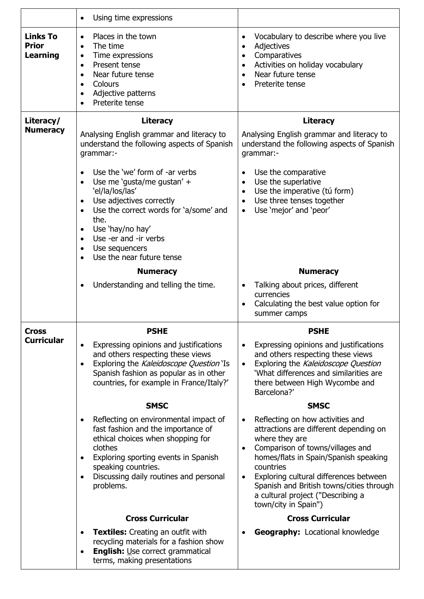|                                                    | Using time expressions                                                                                                                                                                                                                                                                                                          |                                                                                                                                                                                                                                                                                                                                                                                  |
|----------------------------------------------------|---------------------------------------------------------------------------------------------------------------------------------------------------------------------------------------------------------------------------------------------------------------------------------------------------------------------------------|----------------------------------------------------------------------------------------------------------------------------------------------------------------------------------------------------------------------------------------------------------------------------------------------------------------------------------------------------------------------------------|
| <b>Links To</b><br><b>Prior</b><br><b>Learning</b> | Places in the town<br>$\bullet$<br>The time<br>$\bullet$<br>Time expressions<br>٠<br>Present tense<br>$\bullet$<br>Near future tense<br>Colours<br>$\bullet$<br>Adjective patterns<br>$\bullet$<br>Preterite tense                                                                                                              | Vocabulary to describe where you live<br>$\bullet$<br>Adjectives<br>$\bullet$<br>Comparatives<br>$\bullet$<br>Activities on holiday vocabulary<br>$\bullet$<br>Near future tense<br>$\bullet$<br>Preterite tense<br>$\bullet$                                                                                                                                                    |
| Literacy/                                          | <b>Literacy</b>                                                                                                                                                                                                                                                                                                                 | <b>Literacy</b>                                                                                                                                                                                                                                                                                                                                                                  |
| <b>Numeracy</b>                                    | Analysing English grammar and literacy to<br>understand the following aspects of Spanish<br>grammar:-                                                                                                                                                                                                                           | Analysing English grammar and literacy to<br>understand the following aspects of Spanish<br>grammar:-                                                                                                                                                                                                                                                                            |
|                                                    | Use the 'we' form of -ar verbs<br>Use me 'gusta/me gustan' +<br>$\bullet$<br>'el/la/los/las'<br>Use adjectives correctly<br>$\bullet$<br>Use the correct words for 'a/some' and<br>$\bullet$<br>the.<br>Use 'hay/no hay'<br>$\bullet$<br>Use -er and -ir verbs<br>$\bullet$<br>Use sequencers<br>٠<br>Use the near future tense | Use the comparative<br>$\bullet$<br>Use the superlative<br>$\bullet$<br>Use the imperative (tú form)<br>$\bullet$<br>Use three tenses together<br>$\bullet$<br>Use 'mejor' and 'peor'<br>$\bullet$                                                                                                                                                                               |
|                                                    | <b>Numeracy</b>                                                                                                                                                                                                                                                                                                                 | <b>Numeracy</b>                                                                                                                                                                                                                                                                                                                                                                  |
|                                                    | Understanding and telling the time.                                                                                                                                                                                                                                                                                             | Talking about prices, different<br>$\bullet$<br>currencies<br>Calculating the best value option for<br>$\bullet$<br>summer camps                                                                                                                                                                                                                                                 |
| <b>Cross</b>                                       | <b>PSHE</b>                                                                                                                                                                                                                                                                                                                     | <b>PSHE</b>                                                                                                                                                                                                                                                                                                                                                                      |
| <b>Curricular</b>                                  | Expressing opinions and justifications<br>$\bullet$<br>and others respecting these views<br>Exploring the Kaleidoscope Question 'Is<br>$\bullet$<br>Spanish fashion as popular as in other<br>countries, for example in France/Italy?'                                                                                          | Expressing opinions and justifications<br>$\bullet$<br>and others respecting these views<br>Exploring the Kaleidoscope Question<br>$\bullet$<br>'What differences and similarities are<br>there between High Wycombe and<br>Barcelona?'                                                                                                                                          |
|                                                    | <b>SMSC</b>                                                                                                                                                                                                                                                                                                                     | <b>SMSC</b>                                                                                                                                                                                                                                                                                                                                                                      |
|                                                    | Reflecting on environmental impact of<br>fast fashion and the importance of<br>ethical choices when shopping for<br>clothes<br>Exploring sporting events in Spanish<br>$\bullet$<br>speaking countries.<br>Discussing daily routines and personal<br>٠<br>problems.                                                             | Reflecting on how activities and<br>$\bullet$<br>attractions are different depending on<br>where they are<br>Comparison of towns/villages and<br>$\bullet$<br>homes/flats in Spain/Spanish speaking<br>countries<br>Exploring cultural differences between<br>$\bullet$<br>Spanish and British towns/cities through<br>a cultural project ("Describing a<br>town/city in Spain") |
|                                                    | <b>Cross Curricular</b>                                                                                                                                                                                                                                                                                                         | <b>Cross Curricular</b>                                                                                                                                                                                                                                                                                                                                                          |
|                                                    | <b>Textiles:</b> Creating an outfit with<br>$\bullet$<br>recycling materials for a fashion show<br>English: Use correct grammatical<br>$\bullet$<br>terms, making presentations                                                                                                                                                 | <b>Geography: Locational knowledge</b><br>$\bullet$                                                                                                                                                                                                                                                                                                                              |